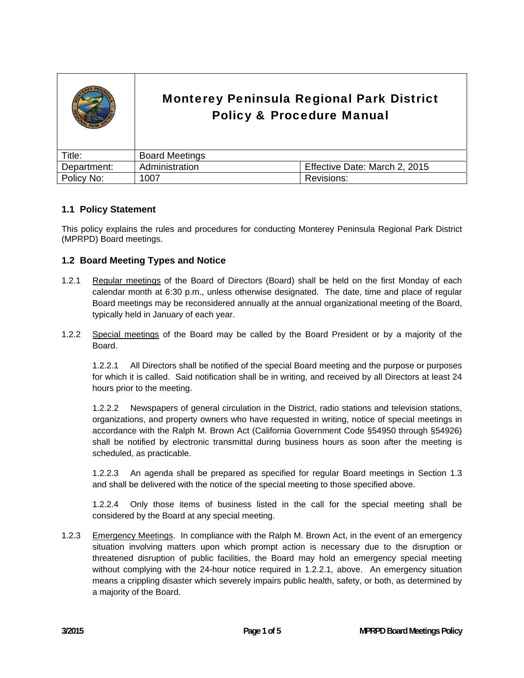|             | <b>Monterey Peninsula Regional Park District</b><br><b>Policy &amp; Procedure Manual</b> |                               |
|-------------|------------------------------------------------------------------------------------------|-------------------------------|
| Title:      | <b>Board Meetings</b>                                                                    |                               |
| Department: | Administration                                                                           | Effective Date: March 2, 2015 |
| Policy No:  | 1007                                                                                     | Revisions:                    |

## **1.1 Policy Statement**

This policy explains the rules and procedures for conducting Monterey Peninsula Regional Park District (MPRPD) Board meetings.

### **1.2 Board Meeting Types and Notice**

- 1.2.1 Regular meetings of the Board of Directors (Board) shall be held on the first Monday of each calendar month at 6:30 p.m., unless otherwise designated. The date, time and place of regular Board meetings may be reconsidered annually at the annual organizational meeting of the Board, typically held in January of each year.
- 1.2.2 Special meetings of the Board may be called by the Board President or by a majority of the Board.

 1.2.2.1 All Directors shall be notified of the special Board meeting and the purpose or purposes for which it is called. Said notification shall be in writing, and received by all Directors at least 24 hours prior to the meeting.

 1.2.2.2 Newspapers of general circulation in the District, radio stations and television stations, organizations, and property owners who have requested in writing, notice of special meetings in accordance with the Ralph M. Brown Act (California Government Code §54950 through §54926) shall be notified by electronic transmittal during business hours as soon after the meeting is scheduled, as practicable.

1.2.2.3 An agenda shall be prepared as specified for regular Board meetings in Section 1.3 and shall be delivered with the notice of the special meeting to those specified above.

1.2.2.4 Only those items of business listed in the call for the special meeting shall be considered by the Board at any special meeting.

1.2.3 Emergency Meetings. In compliance with the Ralph M. Brown Act, in the event of an emergency situation involving matters upon which prompt action is necessary due to the disruption or threatened disruption of public facilities, the Board may hold an emergency special meeting without complying with the 24-hour notice required in 1.2.2.1, above. An emergency situation means a crippling disaster which severely impairs public health, safety, or both, as determined by a majority of the Board.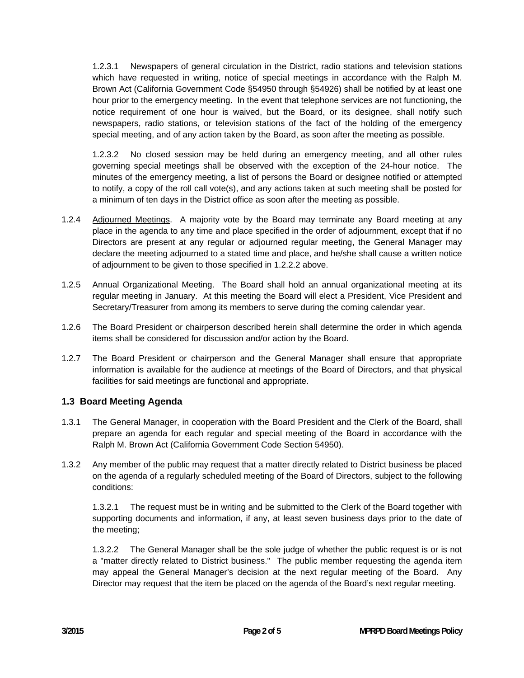1.2.3.1 Newspapers of general circulation in the District, radio stations and television stations which have requested in writing, notice of special meetings in accordance with the Ralph M. Brown Act (California Government Code §54950 through §54926) shall be notified by at least one hour prior to the emergency meeting. In the event that telephone services are not functioning, the notice requirement of one hour is waived, but the Board, or its designee, shall notify such newspapers, radio stations, or television stations of the fact of the holding of the emergency special meeting, and of any action taken by the Board, as soon after the meeting as possible.

 1.2.3.2 No closed session may be held during an emergency meeting, and all other rules governing special meetings shall be observed with the exception of the 24-hour notice. The minutes of the emergency meeting, a list of persons the Board or designee notified or attempted to notify, a copy of the roll call vote(s), and any actions taken at such meeting shall be posted for a minimum of ten days in the District office as soon after the meeting as possible.

- 1.2.4 Adjourned Meetings. A majority vote by the Board may terminate any Board meeting at any place in the agenda to any time and place specified in the order of adjournment, except that if no Directors are present at any regular or adjourned regular meeting, the General Manager may declare the meeting adjourned to a stated time and place, and he/she shall cause a written notice of adjournment to be given to those specified in 1.2.2.2 above.
- 1.2.5 Annual Organizational Meeting. The Board shall hold an annual organizational meeting at its regular meeting in January. At this meeting the Board will elect a President, Vice President and Secretary/Treasurer from among its members to serve during the coming calendar year.
- 1.2.6 The Board President or chairperson described herein shall determine the order in which agenda items shall be considered for discussion and/or action by the Board.
- 1.2.7 The Board President or chairperson and the General Manager shall ensure that appropriate information is available for the audience at meetings of the Board of Directors, and that physical facilities for said meetings are functional and appropriate.

## **1.3 Board Meeting Agenda**

- 1.3.1 The General Manager, in cooperation with the Board President and the Clerk of the Board, shall prepare an agenda for each regular and special meeting of the Board in accordance with the Ralph M. Brown Act (California Government Code Section 54950).
- 1.3.2 Any member of the public may request that a matter directly related to District business be placed on the agenda of a regularly scheduled meeting of the Board of Directors, subject to the following conditions:

 1.3.2.1 The request must be in writing and be submitted to the Clerk of the Board together with supporting documents and information, if any, at least seven business days prior to the date of the meeting;

 1.3.2.2 The General Manager shall be the sole judge of whether the public request is or is not a "matter directly related to District business." The public member requesting the agenda item may appeal the General Manager's decision at the next regular meeting of the Board. Any Director may request that the item be placed on the agenda of the Board's next regular meeting.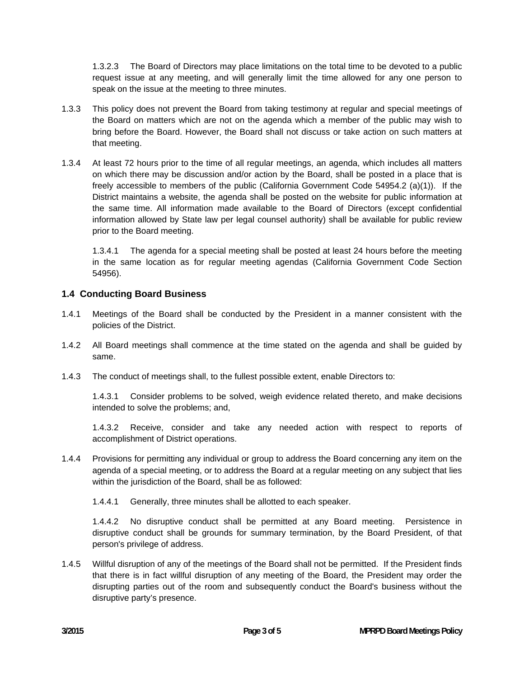1.3.2.3 The Board of Directors may place limitations on the total time to be devoted to a public request issue at any meeting, and will generally limit the time allowed for any one person to speak on the issue at the meeting to three minutes.

- 1.3.3 This policy does not prevent the Board from taking testimony at regular and special meetings of the Board on matters which are not on the agenda which a member of the public may wish to bring before the Board. However, the Board shall not discuss or take action on such matters at that meeting.
- 1.3.4 At least 72 hours prior to the time of all regular meetings, an agenda, which includes all matters on which there may be discussion and/or action by the Board, shall be posted in a place that is freely accessible to members of the public (California Government Code 54954.2 (a)(1)). If the District maintains a website, the agenda shall be posted on the website for public information at the same time. All information made available to the Board of Directors (except confidential information allowed by State law per legal counsel authority) shall be available for public review prior to the Board meeting.

 1.3.4.1 The agenda for a special meeting shall be posted at least 24 hours before the meeting in the same location as for regular meeting agendas (California Government Code Section 54956).

# **1.4 Conducting Board Business**

- 1.4.1 Meetings of the Board shall be conducted by the President in a manner consistent with the policies of the District.
- 1.4.2 All Board meetings shall commence at the time stated on the agenda and shall be guided by same.
- 1.4.3 The conduct of meetings shall, to the fullest possible extent, enable Directors to:

 1.4.3.1 Consider problems to be solved, weigh evidence related thereto, and make decisions intended to solve the problems; and,

 1.4.3.2 Receive, consider and take any needed action with respect to reports of accomplishment of District operations.

- 1.4.4 Provisions for permitting any individual or group to address the Board concerning any item on the agenda of a special meeting, or to address the Board at a regular meeting on any subject that lies within the jurisdiction of the Board, shall be as followed:
	- 1.4.4.1 Generally, three minutes shall be allotted to each speaker.

 1.4.4.2 No disruptive conduct shall be permitted at any Board meeting. Persistence in disruptive conduct shall be grounds for summary termination, by the Board President, of that person's privilege of address.

1.4.5 Willful disruption of any of the meetings of the Board shall not be permitted. If the President finds that there is in fact willful disruption of any meeting of the Board, the President may order the disrupting parties out of the room and subsequently conduct the Board's business without the disruptive party's presence.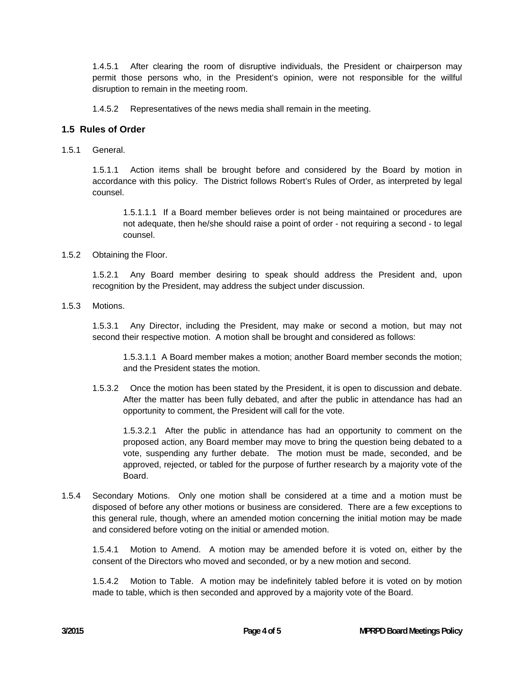1.4.5.1 After clearing the room of disruptive individuals, the President or chairperson may permit those persons who, in the President's opinion, were not responsible for the willful disruption to remain in the meeting room.

1.4.5.2 Representatives of the news media shall remain in the meeting.

## **1.5 Rules of Order**

1.5.1 General.

 1.5.1.1 Action items shall be brought before and considered by the Board by motion in accordance with this policy. The District follows Robert's Rules of Order, as interpreted by legal counsel.

 1.5.1.1.1 If a Board member believes order is not being maintained or procedures are not adequate, then he/she should raise a point of order - not requiring a second - to legal counsel.

1.5.2 Obtaining the Floor.

 1.5.2.1 Any Board member desiring to speak should address the President and, upon recognition by the President, may address the subject under discussion.

1.5.3 Motions.

 1.5.3.1 Any Director, including the President, may make or second a motion, but may not second their respective motion. A motion shall be brought and considered as follows:

 1.5.3.1.1 A Board member makes a motion; another Board member seconds the motion; and the President states the motion.

1.5.3.2 Once the motion has been stated by the President, it is open to discussion and debate. After the matter has been fully debated, and after the public in attendance has had an opportunity to comment, the President will call for the vote.

 1.5.3.2.1 After the public in attendance has had an opportunity to comment on the proposed action, any Board member may move to bring the question being debated to a vote, suspending any further debate. The motion must be made, seconded, and be approved, rejected, or tabled for the purpose of further research by a majority vote of the Board.

1.5.4 Secondary Motions. Only one motion shall be considered at a time and a motion must be disposed of before any other motions or business are considered. There are a few exceptions to this general rule, though, where an amended motion concerning the initial motion may be made and considered before voting on the initial or amended motion.

1.5.4.1 Motion to Amend. A motion may be amended before it is voted on, either by the consent of the Directors who moved and seconded, or by a new motion and second.

1.5.4.2 Motion to Table. A motion may be indefinitely tabled before it is voted on by motion made to table, which is then seconded and approved by a majority vote of the Board.